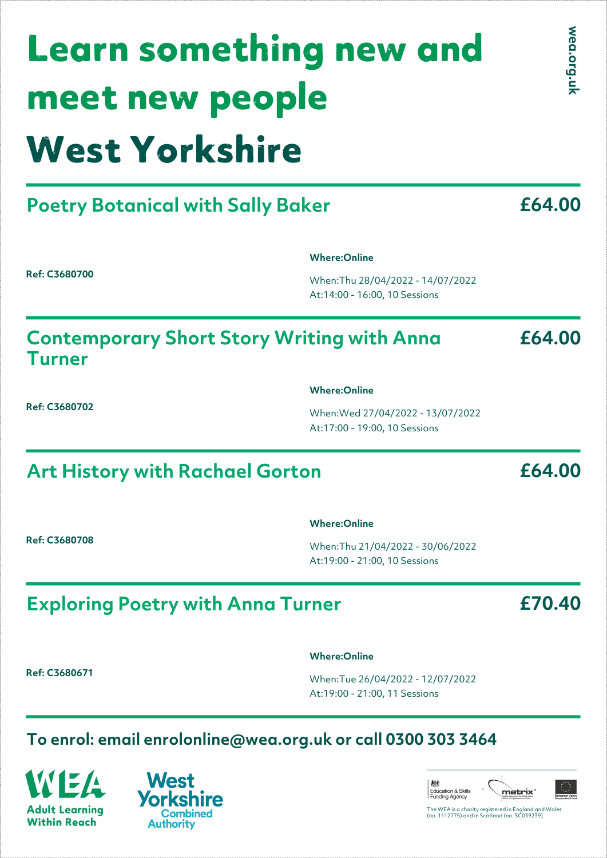# West Yorkshire Learn something new and meet new people

## **Poetry Botanical with Sally Baker**

**Ref: C3680700**

**Where:Online**

When:Thu 28/04/2022 - 14/07/2022 At:14:00 - 16:00, 10 Sessions

#### **Contemporary Short Story Writing with Anna Turner**

**Where:Online**

When:Wed 27/04/2022 - 13/07/2022 At:17:00 - 19:00, 10 Sessions

### **Art History with Rachael Gorton**

**Ref: C3680708**

**Ref: C3680702**

#### **Where:Online**

When:Thu 21/04/2022 - 30/06/2022 At:19:00 - 21:00, 10 Sessions

### **Exploring Poetry with Anna Turner**

**Ref: C3680671**

#### **Where:Online**

When:Tue 26/04/2022 - 12/07/2022 At:19:00 - 21:00, 11 Sessions

#### **To enrol: email enrolonline@wea.org.uk or call 0300 303 3464**

**Adult Learning Within Reach** 



#### Education & Skills<br>Funding Agency matrix<sup>\*</sup> The WEA is a charity registered in England and Wales (no. 1112775) and in Scotland (no. SC039239).

wea.org.uk

**£64.00**

**£64.00**

**£70.40**

**£64.00**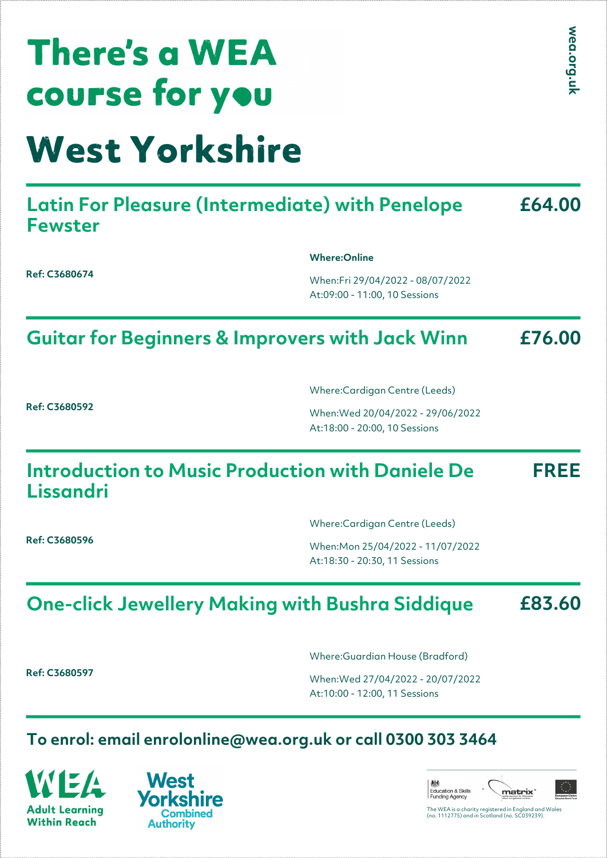| <b>COUFSE for you</b>                                                    |                                                                    | 듯      |
|--------------------------------------------------------------------------|--------------------------------------------------------------------|--------|
| <b>West Yorkshire</b>                                                    |                                                                    |        |
| <b>Latin For Pleasure (Intermediate) with Penelope</b><br><b>Fewster</b> |                                                                    | £64.00 |
| Ref: C3680674                                                            | <b>Where:Online</b>                                                |        |
|                                                                          | When:Fri 29/04/2022 - 08/07/2022<br>At:09:00 - 11:00, 10 Sessions  |        |
|                                                                          | <b>Guitar for Beginners &amp; Improvers with Jack Winn</b>         | £76.00 |
| Ref: C3680592                                                            | Where:Cardigan Centre (Leeds)                                      |        |
|                                                                          | When: Wed 20/04/2022 - 29/06/2022<br>At:18:00 - 20:00, 10 Sessions |        |
|                                                                          | Introduction to Music Production with Daniele De                   | FREE   |

**Lissandri**

**There's a WEA** 

Where:Cardigan Centre (Leeds)

When:Mon 25/04/2022 - 11/07/2022 At:18:30 - 20:30, 11 Sessions

#### **One-click Jewellery Making with Bushra Siddique £83.60**

**Ref: C3680597**

Where:Guardian House (Bradford)

When:Wed 27/04/2022 - 20/07/2022 At:10:00 - 12:00, 11 Sessions

#### **To enrol: email enrolonline@wea.org.uk or call 0300 303 3464**

**Adult Learning Within Reach** 





wea.org.

The WEA is a charity registered in England and Wales (no. 1112775) and in Scotland (no. SC039239).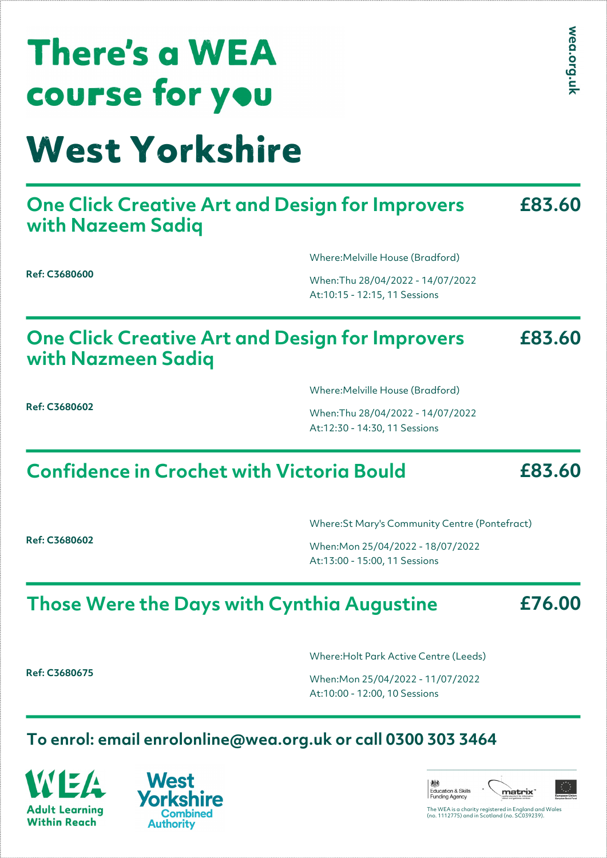| <b>There's a WEA</b> |
|----------------------|
| course for you       |
|                      |

## West Yorkshire

#### **One Click Creative Art and Design for Improvers with Nazeem Sadiq £83.60**

Where:Melville House (Bradford)

When:Thu 28/04/2022 - 14/07/2022 At:10:15 - 12:15, 11 Sessions

#### **One Click Creative Art and Design for Improvers with Nazmeen Sadiq £83.60**

**Ref: C3680602**

**Ref: C3680600**

Where:Melville House (Bradford)

When:Thu 28/04/2022 - 14/07/2022 At:12:30 - 14:30, 11 Sessions

## **Confidence in Crochet with Victoria Bould**

Where:St Mary's Community Centre (Pontefract)

When:Mon 25/04/2022 - 18/07/2022 At:13:00 - 15:00, 11 Sessions

## **Those Were the Days with Cynthia Augustine**

**£76.00**

**£83.60**

**Ref: C3680675**

**Ref: C3680602**

Where:Holt Park Active Centre (Leeds)

When:Mon 25/04/2022 - 11/07/2022 At:10:00 - 12:00, 10 Sessions

#### **To enrol: email enrolonline@wea.org.uk or call 0300 303 3464**

**Adult Learning Within Reach** 





The WEA is a charity registered in England and Wales (no. 1112775) and in Scotland (no. SC039239).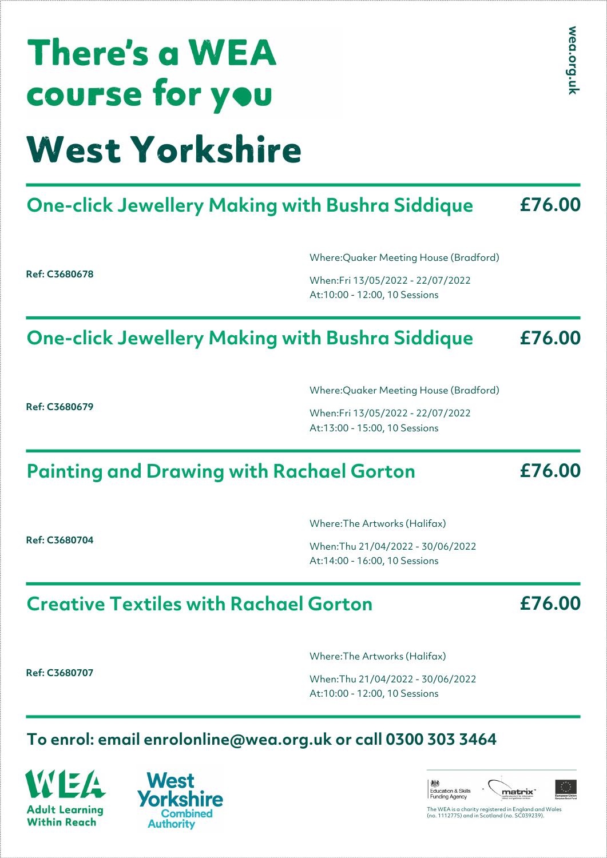## **There's a WEA COUFSE for you** West Yorkshire

#### **One-click Jewellery Making with Bushra Siddique £76.00**

**Ref: C3680678**

Where:Quaker Meeting House (Bradford)

When:Fri 13/05/2022 - 22/07/2022 At:10:00 - 12:00, 10 Sessions

#### **One-click Jewellery Making with Bushra Siddique £76.00**

**Ref: C3680679**

Where:Quaker Meeting House (Bradford)

When:Fri 13/05/2022 - 22/07/2022 At:13:00 - 15:00, 10 Sessions

## **Painting and Drawing with Rachael Gorton**

**Ref: C3680704**

Where:The Artworks (Halifax)

When:Thu 21/04/2022 - 30/06/2022 At:14:00 - 16:00, 10 Sessions

### **Creative Textiles with Rachael Gorton**

**Ref: C3680707**

Where:The Artworks (Halifax)

When:Thu 21/04/2022 - 30/06/2022 At:10:00 - 12:00, 10 Sessions

#### **To enrol: email enrolonline@wea.org.uk or call 0300 303 3464**

**Adult Learning Within Reach** 





**£76.00**

**£76.00**